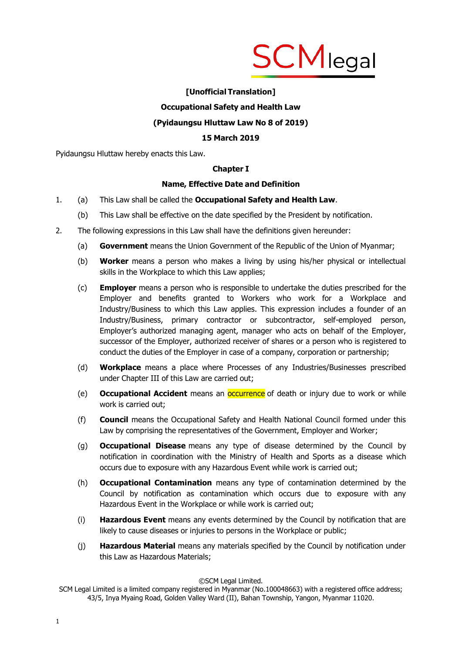

# **[Unofficial Translation]**

# **Occupational Safety and Health Law**

# **(Pyidaungsu Hluttaw Law No 8 of 2019)**

# **15 March 2019**

Pyidaungsu Hluttaw hereby enacts this Law.

# **Chapter I**

#### **Name, Effective Date and Definition**

- 1. (a) This Law shall be called the **Occupational Safety and Health Law**.
	- (b) This Law shall be effective on the date specified by the President by notification.
- 2. The following expressions in this Law shall have the definitions given hereunder:
	- (a) **Government** means the Union Government of the Republic of the Union of Myanmar;
	- (b) **Worker** means a person who makes a living by using his/her physical or intellectual skills in the Workplace to which this Law applies;
	- (c) **Employer** means a person who is responsible to undertake the duties prescribed for the Employer and benefits granted to Workers who work for a Workplace and Industry/Business to which this Law applies. This expression includes a founder of an Industry/Business, primary contractor or subcontractor, self-employed person, Employer's authorized managing agent, manager who acts on behalf of the Employer, successor of the Employer, authorized receiver of shares or a person who is registered to conduct the duties of the Employer in case of a company, corporation or partnership;
	- (d) **Workplace** means a place where Processes of any Industries/Businesses prescribed under Chapter III of this Law are carried out;
	- (e) **Occupational Accident** means an occurrence of death or injury due to work or while work is carried out;
	- (f) **Council** means the Occupational Safety and Health National Council formed under this Law by comprising the representatives of the Government, Employer and Worker;
	- (g) **Occupational Disease** means any type of disease determined by the Council by notification in coordination with the Ministry of Health and Sports as a disease which occurs due to exposure with any Hazardous Event while work is carried out;
	- (h) **Occupational Contamination** means any type of contamination determined by the Council by notification as contamination which occurs due to exposure with any Hazardous Event in the Workplace or while work is carried out;
	- (i) **Hazardous Event** means any events determined by the Council by notification that are likely to cause diseases or injuries to persons in the Workplace or public;
	- (j) **Hazardous Material** means any materials specified by the Council by notification under this Law as Hazardous Materials;

SCM Legal Limited is a limited company registered in Myanmar (No.100048663) with a registered office address; 43/5, Inya Myaing Road, Golden Valley Ward (II), Bahan Township, Yangon, Myanmar 11020.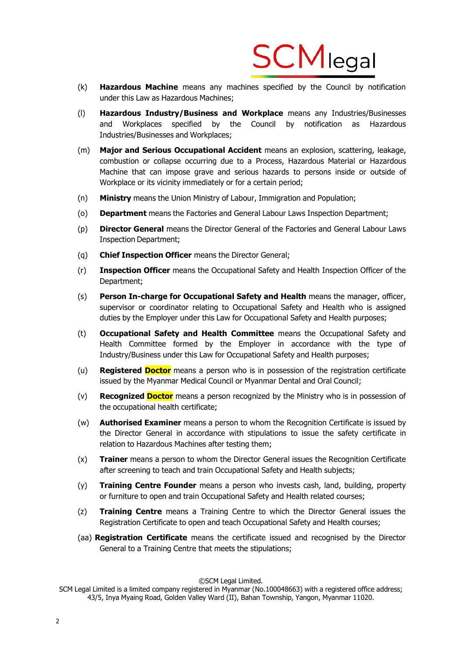

- (k) **Hazardous Machine** means any machines specified by the Council by notification under this Law as Hazardous Machines;
- (l) **Hazardous Industry/Business and Workplace** means any Industries/Businesses and Workplaces specified by the Council by notification as Hazardous Industries/Businesses and Workplaces;
- (m) **Major and Serious Occupational Accident** means an explosion, scattering, leakage, combustion or collapse occurring due to a Process, Hazardous Material or Hazardous Machine that can impose grave and serious hazards to persons inside or outside of Workplace or its vicinity immediately or for a certain period;
- (n) **Ministry** means the Union Ministry of Labour, Immigration and Population;
- (o) **Department** means the Factories and General Labour Laws Inspection Department;
- (p) **Director General** means the Director General of the Factories and General Labour Laws Inspection Department;
- (q) **Chief Inspection Officer** means the Director General;
- (r) **Inspection Officer** means the Occupational Safety and Health Inspection Officer of the Department;
- (s) **Person In-charge for Occupational Safety and Health** means the manager, officer, supervisor or coordinator relating to Occupational Safety and Health who is assigned duties by the Employer under this Law for Occupational Safety and Health purposes;
- (t) **Occupational Safety and Health Committee** means the Occupational Safety and Health Committee formed by the Employer in accordance with the type of Industry/Business under this Law for Occupational Safety and Health purposes;
- (u) **Registered Doctor** means a person who is in possession of the registration certificate issued by the Myanmar Medical Council or Myanmar Dental and Oral Council;
- (v) **Recognized Doctor** means a person recognized by the Ministry who is in possession of the occupational health certificate;
- (w) **Authorised Examiner** means a person to whom the Recognition Certificate is issued by the Director General in accordance with stipulations to issue the safety certificate in relation to Hazardous Machines after testing them;
- (x) **Trainer** means a person to whom the Director General issues the Recognition Certificate after screening to teach and train Occupational Safety and Health subjects;
- (y) **Training Centre Founder** means a person who invests cash, land, building, property or furniture to open and train Occupational Safety and Health related courses;
- (z) **Training Centre** means a Training Centre to which the Director General issues the Registration Certificate to open and teach Occupational Safety and Health courses;
- (aa) **Registration Certificate** means the certificate issued and recognised by the Director General to a Training Centre that meets the stipulations;

SCM Legal Limited is a limited company registered in Myanmar (No.100048663) with a registered office address; 43/5, Inya Myaing Road, Golden Valley Ward (II), Bahan Township, Yangon, Myanmar 11020.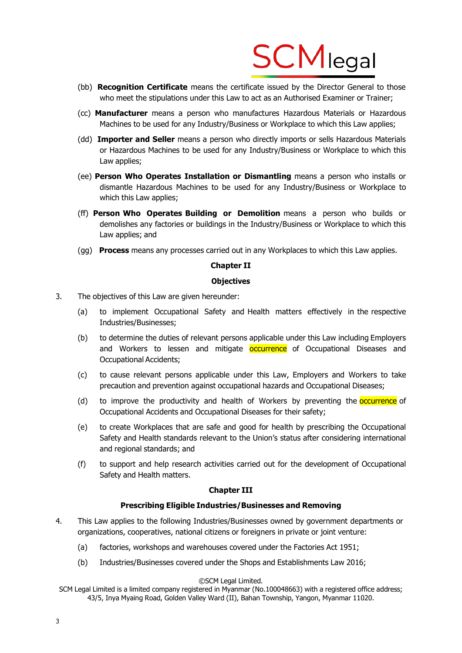

- (bb) **Recognition Certificate** means the certificate issued by the Director General to those who meet the stipulations under this Law to act as an Authorised Examiner or Trainer;
- (cc) **Manufacturer** means a person who manufactures Hazardous Materials or Hazardous Machines to be used for any Industry/Business or Workplace to which this Law applies;
- (dd) **Importer and Seller** means a person who directly imports or sells Hazardous Materials or Hazardous Machines to be used for any Industry/Business or Workplace to which this Law applies;
- (ee) **Person Who Operates Installation or Dismantling** means a person who installs or dismantle Hazardous Machines to be used for any Industry/Business or Workplace to which this Law applies;
- (ff) **Person Who Operates Building or Demolition** means a person who builds or demolishes any factories or buildings in the Industry/Business or Workplace to which this Law applies; and
- (gg) **Process** means any processes carried out in any Workplaces to which this Law applies.

# **Chapter II**

#### **Objectives**

- 3. The objectives of this Law are given hereunder:
	- (a) to implement Occupational Safety and Health matters effectively in the respective Industries/Businesses;
	- (b) to determine the duties of relevant persons applicable under this Law including Employers and Workers to lessen and mitigate **occurrence** of Occupational Diseases and Occupational Accidents;
	- (c) to cause relevant persons applicable under this Law, Employers and Workers to take precaution and prevention against occupational hazards and Occupational Diseases;
	- (d) to improve the productivity and health of Workers by preventing the **occurrence** of Occupational Accidents and Occupational Diseases for their safety;
	- (e) to create Workplaces that are safe and good for health by prescribing the Occupational Safety and Health standards relevant to the Union's status after considering international and regional standards; and
	- (f) to support and help research activities carried out for the development of Occupational Safety and Health matters.

# **Chapter III**

# **Prescribing Eligible Industries/Businesses and Removing**

- 4. This Law applies to the following Industries/Businesses owned by government departments or organizations, cooperatives, national citizens or foreigners in private or joint venture:
	- (a) factories, workshops and warehouses covered under the Factories Act 1951;
	- (b) Industries/Businesses covered under the Shops and Establishments Law 2016;

SCM Legal Limited is a limited company registered in Myanmar (No.100048663) with a registered office address; 43/5, Inya Myaing Road, Golden Valley Ward (II), Bahan Township, Yangon, Myanmar 11020.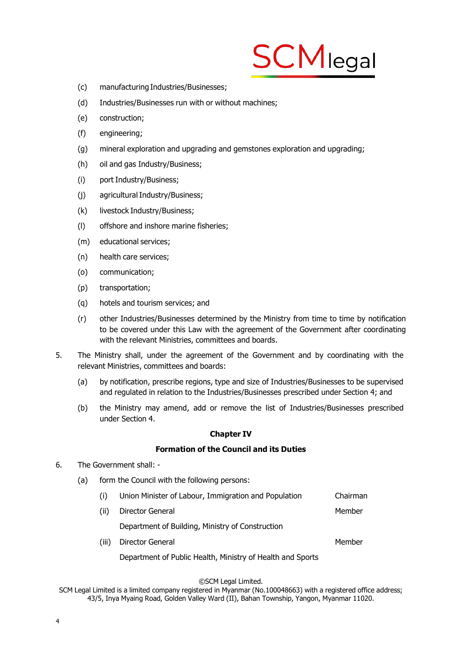

- (c) manufacturing Industries/Businesses;
- (d) Industries/Businesses run with or without machines;
- (e) construction;
- (f) engineering;
- (g) mineral exploration and upgrading and gemstones exploration and upgrading;
- (h) oil and gas Industry/Business;
- (i) port Industry/Business;
- (i) agricultural Industry/Business;
- (k) livestock Industry/Business;
- (l) offshore and inshore marine fisheries;
- (m) educational services;
- (n) health care services;
- (o) communication;
- (p) transportation;
- (q) hotels and tourism services; and
- (r) other Industries/Businesses determined by the Ministry from time to time by notification to be covered under this Law with the agreement of the Government after coordinating with the relevant Ministries, committees and boards.
- 5. The Ministry shall, under the agreement of the Government and by coordinating with the relevant Ministries, committees and boards:
	- (a) by notification, prescribe regions, type and size of Industries/Businesses to be supervised and regulated in relation to the Industries/Businesses prescribed under Section 4; and
	- (b) the Ministry may amend, add or remove the list of Industries/Businesses prescribed under Section 4.

#### **Chapter IV**

# **Formation of the Council and its Duties**

- 6. The Government shall:
	- (a) form the Council with the following persons:
		- (i) Union Minister of Labour, Immigration and Population Chairman
		- (ii) Director General Member

Department of Building, Ministry of Construction

(iii) Director General Member

Department of Public Health, Ministry of Health and Sports

#### ©SCM Legal Limited.

SCM Legal Limited is a limited company registered in Myanmar (No.100048663) with a registered office address; 43/5, Inya Myaing Road, Golden Valley Ward (II), Bahan Township, Yangon, Myanmar 11020.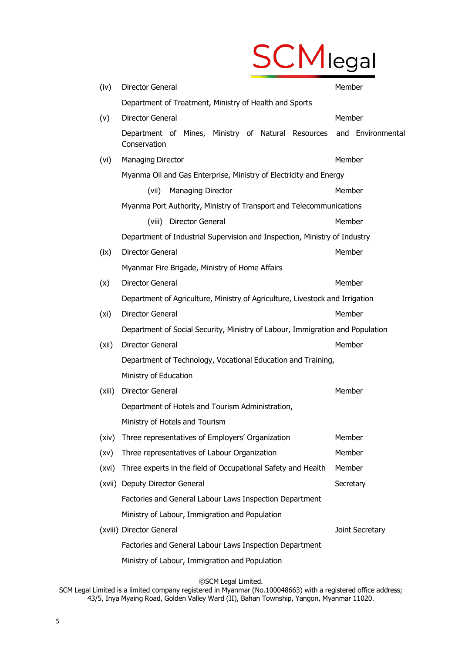# **SCM**legal

| (iv)   | Director General                                                                     | Member          |
|--------|--------------------------------------------------------------------------------------|-----------------|
|        | Department of Treatment, Ministry of Health and Sports                               |                 |
| (v)    | <b>Director General</b>                                                              | Member          |
|        | Department of Mines, Ministry of Natural Resources and Environmental<br>Conservation |                 |
| (vi)   | <b>Managing Director</b>                                                             | Member          |
|        | Myanma Oil and Gas Enterprise, Ministry of Electricity and Energy                    |                 |
|        | (vii)<br><b>Managing Director</b>                                                    | Member          |
|        | Myanma Port Authority, Ministry of Transport and Telecommunications                  |                 |
|        | (viii) Director General                                                              | Member          |
|        | Department of Industrial Supervision and Inspection, Ministry of Industry            |                 |
| (ix)   | Director General                                                                     | Member          |
|        | Myanmar Fire Brigade, Ministry of Home Affairs                                       |                 |
| (x)    | Director General                                                                     | Member          |
|        | Department of Agriculture, Ministry of Agriculture, Livestock and Irrigation         |                 |
| (xi)   | Director General                                                                     | Member          |
|        | Department of Social Security, Ministry of Labour, Immigration and Population        |                 |
| (xii)  | Director General                                                                     | Member          |
|        | Department of Technology, Vocational Education and Training,                         |                 |
|        | Ministry of Education                                                                |                 |
| (xiii) | Director General                                                                     | Member          |
|        | Department of Hotels and Tourism Administration,                                     |                 |
|        | Ministry of Hotels and Tourism                                                       |                 |
| (xiv)  | Three representatives of Employers' Organization                                     | Member          |
| (xv)   | Three representatives of Labour Organization                                         | Member          |
| (xvi)  | Three experts in the field of Occupational Safety and Health                         | Member          |
| (xvii) | Deputy Director General                                                              | Secretary       |
|        | Factories and General Labour Laws Inspection Department                              |                 |
|        | Ministry of Labour, Immigration and Population                                       |                 |
|        | (xviii) Director General                                                             | Joint Secretary |
|        | Factories and General Labour Laws Inspection Department                              |                 |
|        | Ministry of Labour, Immigration and Population                                       |                 |

©SCM Legal Limited.

SCM Legal Limited is a limited company registered in Myanmar (No.100048663) with a registered office address; 43/5, Inya Myaing Road, Golden Valley Ward (II), Bahan Township, Yangon, Myanmar 11020.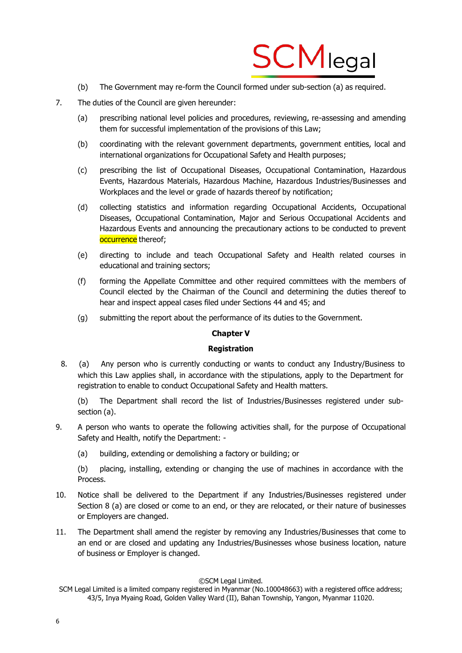

- (b) The Government may re-form the Council formed under sub-section (a) as required.
- 7. The duties of the Council are given hereunder:
	- (a) prescribing national level policies and procedures, reviewing, re-assessing and amending them for successful implementation of the provisions of this Law;
	- (b) coordinating with the relevant government departments, government entities, local and international organizations for Occupational Safety and Health purposes;
	- (c) prescribing the list of Occupational Diseases, Occupational Contamination, Hazardous Events, Hazardous Materials, Hazardous Machine, Hazardous Industries/Businesses and Workplaces and the level or grade of hazards thereof by notification;
	- (d) collecting statistics and information regarding Occupational Accidents, Occupational Diseases, Occupational Contamination, Major and Serious Occupational Accidents and Hazardous Events and announcing the precautionary actions to be conducted to prevent occurrence thereof;
	- (e) directing to include and teach Occupational Safety and Health related courses in educational and training sectors;
	- (f) forming the Appellate Committee and other required committees with the members of Council elected by the Chairman of the Council and determining the duties thereof to hear and inspect appeal cases filed under Sections 44 and 45; and
	- (g) submitting the report about the performance of its duties to the Government.

# **Chapter V**

# **Registration**

8. (a) Any person who is currently conducting or wants to conduct any Industry/Business to which this Law applies shall, in accordance with the stipulations, apply to the Department for registration to enable to conduct Occupational Safety and Health matters.

(b) The Department shall record the list of Industries/Businesses registered under subsection (a).

- 9. A person who wants to operate the following activities shall, for the purpose of Occupational Safety and Health, notify the Department: -
	- (a) building, extending or demolishing a factory or building; or

(b) placing, installing, extending or changing the use of machines in accordance with the Process.

- 10. Notice shall be delivered to the Department if any Industries/Businesses registered under Section 8 (a) are closed or come to an end, or they are relocated, or their nature of businesses or Employers are changed.
- 11. The Department shall amend the register by removing any Industries/Businesses that come to an end or are closed and updating any Industries/Businesses whose business location, nature of business or Employer is changed.

SCM Legal Limited is a limited company registered in Myanmar (No.100048663) with a registered office address; 43/5, Inya Myaing Road, Golden Valley Ward (II), Bahan Township, Yangon, Myanmar 11020.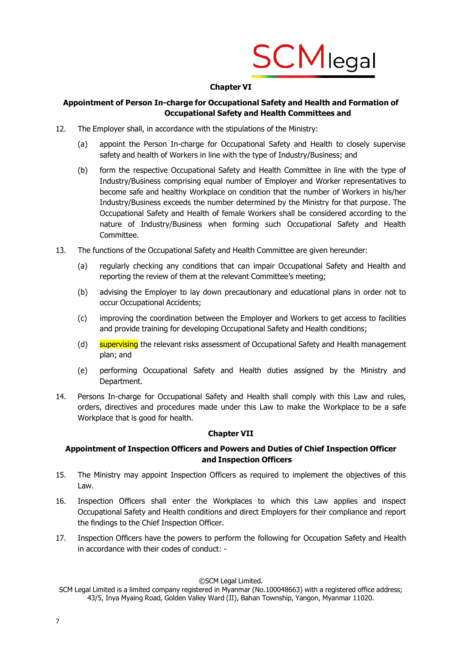

# **Chapter VI**

# **Appointment of Person In-charge for Occupational Safety and Health and Formation of Occupational Safety and Health Committees and**

- 12. The Employer shall, in accordance with the stipulations of the Ministry:
	- (a) appoint the Person In-charge for Occupational Safety and Health to closely supervise safety and health of Workers in line with the type of Industry/Business; and
	- (b) form the respective Occupational Safety and Health Committee in line with the type of Industry/Business comprising equal number of Employer and Worker representatives to become safe and healthy Workplace on condition that the number of Workers in his/her Industry/Business exceeds the number determined by the Ministry for that purpose. The Occupational Safety and Health of female Workers shall be considered according to the nature of Industry/Business when forming such Occupational Safety and Health Committee.
- 13. The functions of the Occupational Safety and Health Committee are given hereunder:
	- (a) regularly checking any conditions that can impair Occupational Safety and Health and reporting the review of them at the relevant Committee's meeting;
	- (b) advising the Employer to lay down precautionary and educational plans in order not to occur Occupational Accidents;
	- (c) improving the coordination between the Employer and Workers to get access to facilities and provide training for developing Occupational Safety and Health conditions;
	- (d) supervising the relevant risks assessment of Occupational Safety and Health management plan; and
	- (e) performing Occupational Safety and Health duties assigned by the Ministry and Department.
- 14. Persons In-charge for Occupational Safety and Health shall comply with this Law and rules, orders, directives and procedures made under this Law to make the Workplace to be a safe Workplace that is good for health.

# **Chapter VII**

# **Appointment of Inspection Officers and Powers and Duties of Chief Inspection Officer and Inspection Officers**

- 15. The Ministry may appoint Inspection Officers as required to implement the objectives of this Law.
- 16. Inspection Officers shall enter the Workplaces to which this Law applies and inspect Occupational Safety and Health conditions and direct Employers for their compliance and report the findings to the Chief Inspection Officer.
- 17. Inspection Officers have the powers to perform the following for Occupation Safety and Health in accordance with their codes of conduct: -

SCM Legal Limited is a limited company registered in Myanmar (No.100048663) with a registered office address; 43/5, Inya Myaing Road, Golden Valley Ward (II), Bahan Township, Yangon, Myanmar 11020.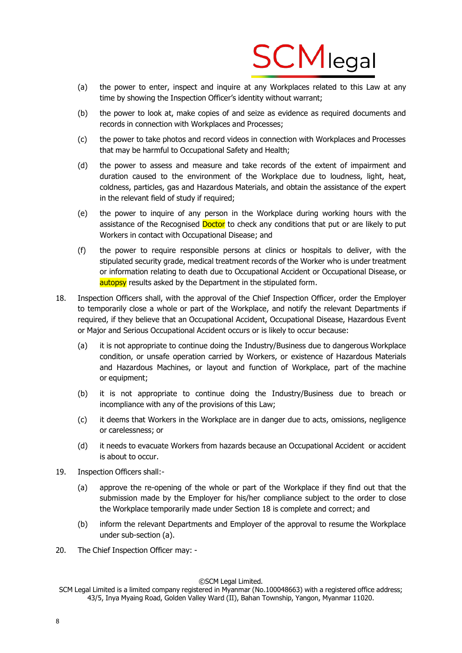

- (a) the power to enter, inspect and inquire at any Workplaces related to this Law at any time by showing the Inspection Officer's identity without warrant;
- (b) the power to look at, make copies of and seize as evidence as required documents and records in connection with Workplaces and Processes;
- (c) the power to take photos and record videos in connection with Workplaces and Processes that may be harmful to Occupational Safety and Health;
- (d) the power to assess and measure and take records of the extent of impairment and duration caused to the environment of the Workplace due to loudness, light, heat, coldness, particles, gas and Hazardous Materials, and obtain the assistance of the expert in the relevant field of study if required;
- (e) the power to inquire of any person in the Workplace during working hours with the assistance of the Recognised Doctor to check any conditions that put or are likely to put Workers in contact with Occupational Disease; and
- (f) the power to require responsible persons at clinics or hospitals to deliver, with the stipulated security grade, medical treatment records of the Worker who is under treatment or information relating to death due to Occupational Accident or Occupational Disease, or autopsy results asked by the Department in the stipulated form.
- 18. Inspection Officers shall, with the approval of the Chief Inspection Officer, order the Employer to temporarily close a whole or part of the Workplace, and notify the relevant Departments if required, if they believe that an Occupational Accident, Occupational Disease, Hazardous Event or Major and Serious Occupational Accident occurs or is likely to occur because:
	- (a) it is not appropriate to continue doing the Industry/Business due to dangerous Workplace condition, or unsafe operation carried by Workers, or existence of Hazardous Materials and Hazardous Machines, or layout and function of Workplace, part of the machine or equipment;
	- (b) it is not appropriate to continue doing the Industry/Business due to breach or incompliance with any of the provisions of this Law;
	- (c) it deems that Workers in the Workplace are in danger due to acts, omissions, negligence or carelessness; or
	- (d) it needs to evacuate Workers from hazards because an Occupational Accident or accident is about to occur.
- 19. Inspection Officers shall:-
	- (a) approve the re-opening of the whole or part of the Workplace if they find out that the submission made by the Employer for his/her compliance subject to the order to close the Workplace temporarily made under Section 18 is complete and correct; and
	- (b) inform the relevant Departments and Employer of the approval to resume the Workplace under sub-section (a).
- 20. The Chief Inspection Officer may: -

SCM Legal Limited is a limited company registered in Myanmar (No.100048663) with a registered office address; 43/5, Inya Myaing Road, Golden Valley Ward (II), Bahan Township, Yangon, Myanmar 11020.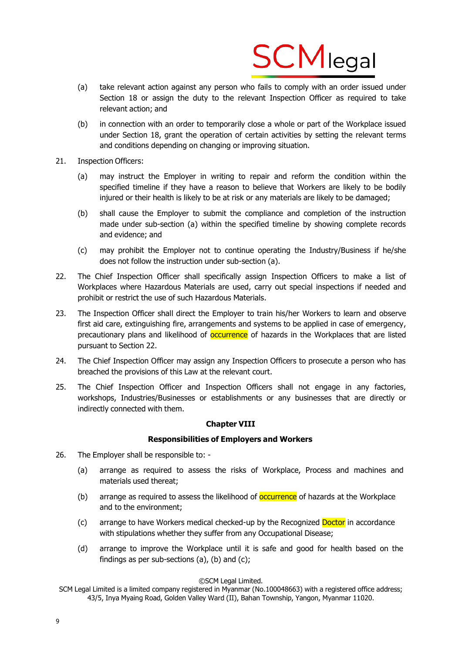![](_page_8_Picture_0.jpeg)

- (a) take relevant action against any person who fails to comply with an order issued under Section 18 or assign the duty to the relevant Inspection Officer as required to take relevant action; and
- (b) in connection with an order to temporarily close a whole or part of the Workplace issued under Section 18, grant the operation of certain activities by setting the relevant terms and conditions depending on changing or improving situation.
- 21. Inspection Officers:
	- (a) may instruct the Employer in writing to repair and reform the condition within the specified timeline if they have a reason to believe that Workers are likely to be bodily injured or their health is likely to be at risk or any materials are likely to be damaged;
	- (b) shall cause the Employer to submit the compliance and completion of the instruction made under sub-section (a) within the specified timeline by showing complete records and evidence; and
	- (c) may prohibit the Employer not to continue operating the Industry/Business if he/she does not follow the instruction under sub-section (a).
- 22. The Chief Inspection Officer shall specifically assign Inspection Officers to make a list of Workplaces where Hazardous Materials are used, carry out special inspections if needed and prohibit or restrict the use of such Hazardous Materials.
- 23. The Inspection Officer shall direct the Employer to train his/her Workers to learn and observe first aid care, extinguishing fire, arrangements and systems to be applied in case of emergency, precautionary plans and likelihood of **occurrence** of hazards in the Workplaces that are listed pursuant to Section 22.
- 24. The Chief Inspection Officer may assign any Inspection Officers to prosecute a person who has breached the provisions of this Law at the relevant court.
- 25. The Chief Inspection Officer and Inspection Officers shall not engage in any factories, workshops, Industries/Businesses or establishments or any businesses that are directly or indirectly connected with them.

# **Chapter VIII**

# **Responsibilities of Employers and Workers**

- 26. The Employer shall be responsible to:
	- (a) arrange as required to assess the risks of Workplace, Process and machines and materials used thereat;
	- (b) arrange as required to assess the likelihood of **occurrence** of hazards at the Workplace and to the environment;
	- (c) arrange to have Workers medical checked-up by the Recognized Doctor in accordance with stipulations whether they suffer from any Occupational Disease;
	- (d) arrange to improve the Workplace until it is safe and good for health based on the findings as per sub-sections (a), (b) and (c);

SCM Legal Limited is a limited company registered in Myanmar (No.100048663) with a registered office address; 43/5, Inya Myaing Road, Golden Valley Ward (II), Bahan Township, Yangon, Myanmar 11020.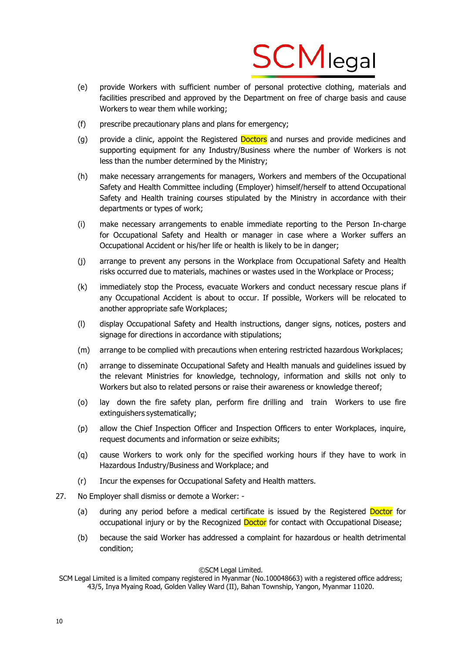![](_page_9_Picture_0.jpeg)

- (e) provide Workers with sufficient number of personal protective clothing, materials and facilities prescribed and approved by the Department on free of charge basis and cause Workers to wear them while working;
- (f) prescribe precautionary plans and plans for emergency;
- (g) provide a clinic, appoint the Registered Doctors and nurses and provide medicines and supporting equipment for any Industry/Business where the number of Workers is not less than the number determined by the Ministry;
- (h) make necessary arrangements for managers, Workers and members of the Occupational Safety and Health Committee including (Employer) himself/herself to attend Occupational Safety and Health training courses stipulated by the Ministry in accordance with their departments or types of work;
- (i) make necessary arrangements to enable immediate reporting to the Person In-charge for Occupational Safety and Health or manager in case where a Worker suffers an Occupational Accident or his/her life or health is likely to be in danger;
- (j) arrange to prevent any persons in the Workplace from Occupational Safety and Health risks occurred due to materials, machines or wastes used in the Workplace or Process;
- (k) immediately stop the Process, evacuate Workers and conduct necessary rescue plans if any Occupational Accident is about to occur. If possible, Workers will be relocated to another appropriate safe Workplaces;
- (l) display Occupational Safety and Health instructions, danger signs, notices, posters and signage for directions in accordance with stipulations;
- (m) arrange to be complied with precautions when entering restricted hazardous Workplaces;
- (n) arrange to disseminate Occupational Safety and Health manuals and guidelines issued by the relevant Ministries for knowledge, technology, information and skills not only to Workers but also to related persons or raise their awareness or knowledge thereof;
- (o) lay down the fire safety plan, perform fire drilling and train Workers to use fire extinguishers systematically;
- (p) allow the Chief Inspection Officer and Inspection Officers to enter Workplaces, inquire, request documents and information or seize exhibits;
- (q) cause Workers to work only for the specified working hours if they have to work in Hazardous Industry/Business and Workplace; and
- (r) Incur the expenses for Occupational Safety and Health matters.
- 27. No Employer shall dismiss or demote a Worker:
	- (a) during any period before a medical certificate is issued by the Registered Doctor for occupational injury or by the Recognized Doctor for contact with Occupational Disease;
	- (b) because the said Worker has addressed a complaint for hazardous or health detrimental condition;

SCM Legal Limited is a limited company registered in Myanmar (No.100048663) with a registered office address; 43/5, Inya Myaing Road, Golden Valley Ward (II), Bahan Township, Yangon, Myanmar 11020.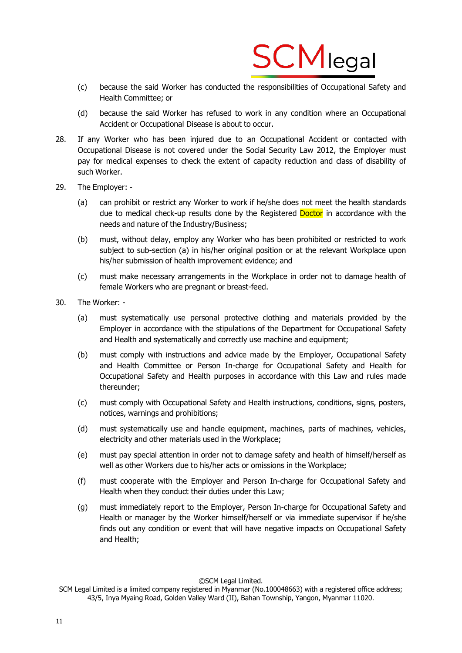![](_page_10_Picture_0.jpeg)

- (c) because the said Worker has conducted the responsibilities of Occupational Safety and Health Committee; or
- (d) because the said Worker has refused to work in any condition where an Occupational Accident or Occupational Disease is about to occur.
- 28. If any Worker who has been injured due to an Occupational Accident or contacted with Occupational Disease is not covered under the Social Security Law 2012, the Employer must pay for medical expenses to check the extent of capacity reduction and class of disability of such Worker.
- 29. The Employer:
	- (a) can prohibit or restrict any Worker to work if he/she does not meet the health standards due to medical check-up results done by the Registered Doctor in accordance with the needs and nature of the Industry/Business;
	- (b) must, without delay, employ any Worker who has been prohibited or restricted to work subject to sub-section (a) in his/her original position or at the relevant Workplace upon his/her submission of health improvement evidence; and
	- (c) must make necessary arrangements in the Workplace in order not to damage health of female Workers who are pregnant or breast-feed.
- 30. The Worker:
	- (a) must systematically use personal protective clothing and materials provided by the Employer in accordance with the stipulations of the Department for Occupational Safety and Health and systematically and correctly use machine and equipment;
	- (b) must comply with instructions and advice made by the Employer, Occupational Safety and Health Committee or Person In-charge for Occupational Safety and Health for Occupational Safety and Health purposes in accordance with this Law and rules made thereunder;
	- (c) must comply with Occupational Safety and Health instructions, conditions, signs, posters, notices, warnings and prohibitions;
	- (d) must systematically use and handle equipment, machines, parts of machines, vehicles, electricity and other materials used in the Workplace;
	- (e) must pay special attention in order not to damage safety and health of himself/herself as well as other Workers due to his/her acts or omissions in the Workplace;
	- (f) must cooperate with the Employer and Person In-charge for Occupational Safety and Health when they conduct their duties under this Law;
	- (g) must immediately report to the Employer, Person In-charge for Occupational Safety and Health or manager by the Worker himself/herself or via immediate supervisor if he/she finds out any condition or event that will have negative impacts on Occupational Safety and Health;

SCM Legal Limited is a limited company registered in Myanmar (No.100048663) with a registered office address; 43/5, Inya Myaing Road, Golden Valley Ward (II), Bahan Township, Yangon, Myanmar 11020.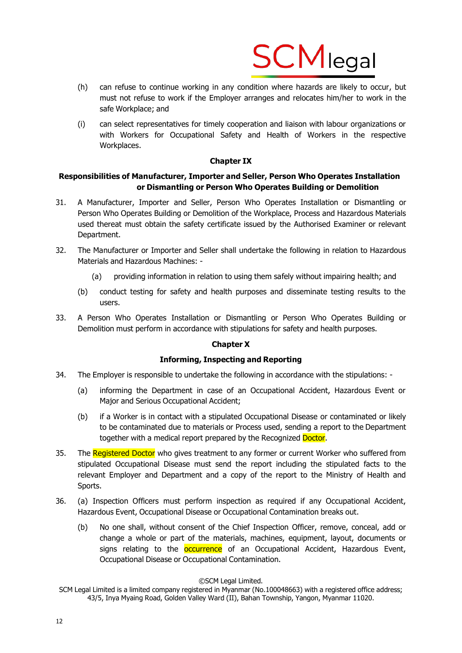![](_page_11_Picture_0.jpeg)

- (h) can refuse to continue working in any condition where hazards are likely to occur, but must not refuse to work if the Employer arranges and relocates him/her to work in the safe Workplace; and
- (i) can select representatives for timely cooperation and liaison with labour organizations or with Workers for Occupational Safety and Health of Workers in the respective Workplaces.

# **Chapter IX**

# **Responsibilities of Manufacturer, Importer and Seller, Person Who Operates Installation or Dismantling or Person Who Operates Building or Demolition**

- 31. A Manufacturer, Importer and Seller, Person Who Operates Installation or Dismantling or Person Who Operates Building or Demolition of the Workplace, Process and Hazardous Materials used thereat must obtain the safety certificate issued by the Authorised Examiner or relevant Department.
- 32. The Manufacturer or Importer and Seller shall undertake the following in relation to Hazardous Materials and Hazardous Machines: -
	- (a) providing information in relation to using them safely without impairing health; and
	- (b) conduct testing for safety and health purposes and disseminate testing results to the users.
- 33. A Person Who Operates Installation or Dismantling or Person Who Operates Building or Demolition must perform in accordance with stipulations for safety and health purposes.

# **Chapter X**

# **Informing, Inspecting and Reporting**

- 34. The Employer is responsible to undertake the following in accordance with the stipulations:
	- (a) informing the Department in case of an Occupational Accident, Hazardous Event or Major and Serious Occupational Accident;
	- (b) if a Worker is in contact with a stipulated Occupational Disease or contaminated or likely to be contaminated due to materials or Process used, sending a report to the Department together with a medical report prepared by the Recognized Doctor.
- 35. The Registered Doctor who gives treatment to any former or current Worker who suffered from stipulated Occupational Disease must send the report including the stipulated facts to the relevant Employer and Department and a copy of the report to the Ministry of Health and Sports.
- 36. (a) Inspection Officers must perform inspection as required if any Occupational Accident, Hazardous Event, Occupational Disease or Occupational Contamination breaks out.
	- (b) No one shall, without consent of the Chief Inspection Officer, remove, conceal, add or change a whole or part of the materials, machines, equipment, layout, documents or signs relating to the **occurrence** of an Occupational Accident, Hazardous Event, Occupational Disease or Occupational Contamination.

SCM Legal Limited is a limited company registered in Myanmar (No.100048663) with a registered office address; 43/5, Inya Myaing Road, Golden Valley Ward (II), Bahan Township, Yangon, Myanmar 11020.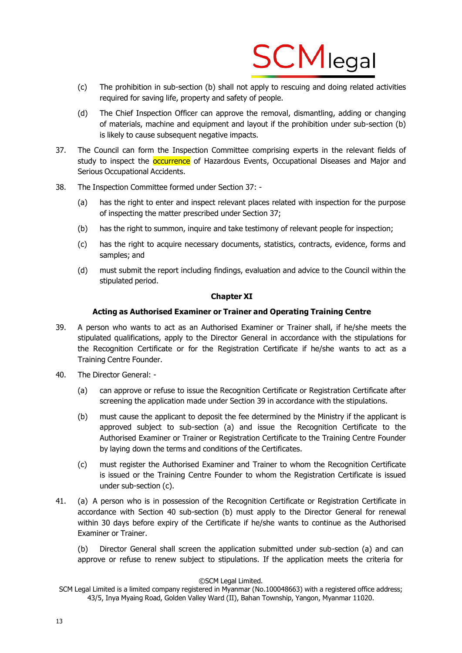![](_page_12_Picture_0.jpeg)

- (c) The prohibition in sub-section (b) shall not apply to rescuing and doing related activities required for saving life, property and safety of people.
- (d) The Chief Inspection Officer can approve the removal, dismantling, adding or changing of materials, machine and equipment and layout if the prohibition under sub-section (b) is likely to cause subsequent negative impacts.
- 37. The Council can form the Inspection Committee comprising experts in the relevant fields of study to inspect the **occurrence** of Hazardous Events, Occupational Diseases and Major and Serious Occupational Accidents.
- 38. The Inspection Committee formed under Section 37:
	- (a) has the right to enter and inspect relevant places related with inspection for the purpose of inspecting the matter prescribed under Section 37;
	- (b) has the right to summon, inquire and take testimony of relevant people for inspection;
	- (c) has the right to acquire necessary documents, statistics, contracts, evidence, forms and samples; and
	- (d) must submit the report including findings, evaluation and advice to the Council within the stipulated period.

# **Chapter XI**

# **Acting as Authorised Examiner or Trainer and Operating Training Centre**

- 39. A person who wants to act as an Authorised Examiner or Trainer shall, if he/she meets the stipulated qualifications, apply to the Director General in accordance with the stipulations for the Recognition Certificate or for the Registration Certificate if he/she wants to act as a Training Centre Founder.
- 40. The Director General:
	- (a) can approve or refuse to issue the Recognition Certificate or Registration Certificate after screening the application made under Section 39 in accordance with the stipulations.
	- (b) must cause the applicant to deposit the fee determined by the Ministry if the applicant is approved subject to sub-section (a) and issue the Recognition Certificate to the Authorised Examiner or Trainer or Registration Certificate to the Training Centre Founder by laying down the terms and conditions of the Certificates.
	- (c) must register the Authorised Examiner and Trainer to whom the Recognition Certificate is issued or the Training Centre Founder to whom the Registration Certificate is issued under sub-section (c).
- 41. (a) A person who is in possession of the Recognition Certificate or Registration Certificate in accordance with Section 40 sub-section (b) must apply to the Director General for renewal within 30 days before expiry of the Certificate if he/she wants to continue as the Authorised Examiner or Trainer.

(b) Director General shall screen the application submitted under sub-section (a) and can approve or refuse to renew subject to stipulations. If the application meets the criteria for

SCM Legal Limited is a limited company registered in Myanmar (No.100048663) with a registered office address; 43/5, Inya Myaing Road, Golden Valley Ward (II), Bahan Township, Yangon, Myanmar 11020.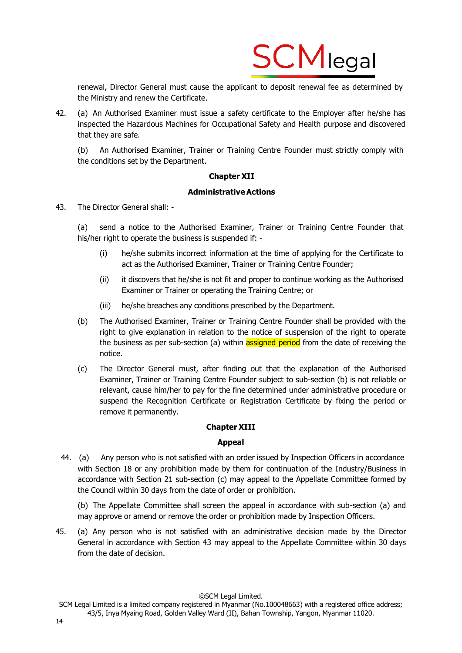![](_page_13_Picture_0.jpeg)

renewal, Director General must cause the applicant to deposit renewal fee as determined by the Ministry and renew the Certificate.

42. (a) An Authorised Examiner must issue a safety certificate to the Employer after he/she has inspected the Hazardous Machines for Occupational Safety and Health purpose and discovered that they are safe.

(b) An Authorised Examiner, Trainer or Training Centre Founder must strictly comply with the conditions set by the Department.

# **Chapter XII**

# **AdministrativeActions**

43. The Director General shall: -

(a) send a notice to the Authorised Examiner, Trainer or Training Centre Founder that his/her right to operate the business is suspended if: -

- (i) he/she submits incorrect information at the time of applying for the Certificate to act as the Authorised Examiner, Trainer or Training Centre Founder;
- (ii) it discovers that he/she is not fit and proper to continue working as the Authorised Examiner or Trainer or operating the Training Centre; or
- (iii) he/she breaches any conditions prescribed by the Department.
- (b) The Authorised Examiner, Trainer or Training Centre Founder shall be provided with the right to give explanation in relation to the notice of suspension of the right to operate the business as per sub-section (a) within **assigned period** from the date of receiving the notice.
- (c) The Director General must, after finding out that the explanation of the Authorised Examiner, Trainer or Training Centre Founder subject to sub-section (b) is not reliable or relevant, cause him/her to pay for the fine determined under administrative procedure or suspend the Recognition Certificate or Registration Certificate by fixing the period or remove it permanently.

# **Chapter XIII**

#### **Appeal**

44. (a) Any person who is not satisfied with an order issued by Inspection Officers in accordance with Section 18 or any prohibition made by them for continuation of the Industry/Business in accordance with Section 21 sub-section (c) may appeal to the Appellate Committee formed by the Council within 30 days from the date of order or prohibition.

(b) The Appellate Committee shall screen the appeal in accordance with sub-section (a) and may approve or amend or remove the order or prohibition made by Inspection Officers.

45. (a) Any person who is not satisfied with an administrative decision made by the Director General in accordance with Section 43 may appeal to the Appellate Committee within 30 days from the date of decision.

SCM Legal Limited is a limited company registered in Myanmar (No.100048663) with a registered office address; 43/5, Inya Myaing Road, Golden Valley Ward (II), Bahan Township, Yangon, Myanmar 11020.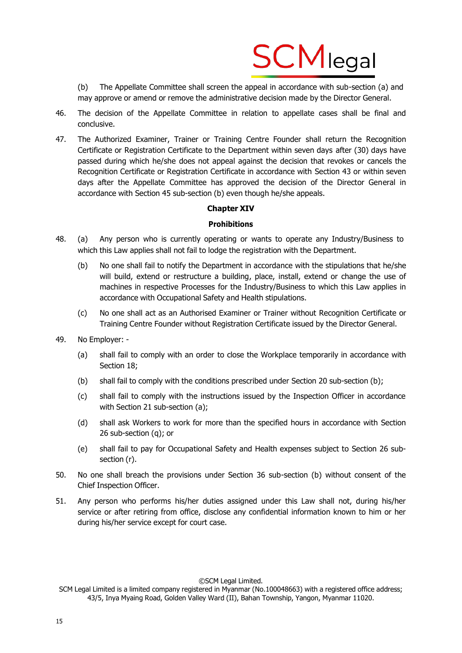![](_page_14_Picture_0.jpeg)

(b) The Appellate Committee shall screen the appeal in accordance with sub-section (a) and may approve or amend or remove the administrative decision made by the Director General.

- 46. The decision of the Appellate Committee in relation to appellate cases shall be final and conclusive.
- 47. The Authorized Examiner, Trainer or Training Centre Founder shall return the Recognition Certificate or Registration Certificate to the Department within seven days after (30) days have passed during which he/she does not appeal against the decision that revokes or cancels the Recognition Certificate or Registration Certificate in accordance with Section 43 or within seven days after the Appellate Committee has approved the decision of the Director General in accordance with Section 45 sub-section (b) even though he/she appeals.

# **Chapter XIV**

# **Prohibitions**

- 48. (a) Any person who is currently operating or wants to operate any Industry/Business to which this Law applies shall not fail to lodge the registration with the Department.
	- (b) No one shall fail to notify the Department in accordance with the stipulations that he/she will build, extend or restructure a building, place, install, extend or change the use of machines in respective Processes for the Industry/Business to which this Law applies in accordance with Occupational Safety and Health stipulations.
	- (c) No one shall act as an Authorised Examiner or Trainer without Recognition Certificate or Training Centre Founder without Registration Certificate issued by the Director General.
- 49. No Employer:
	- (a) shall fail to comply with an order to close the Workplace temporarily in accordance with Section 18;
	- (b) shall fail to comply with the conditions prescribed under Section 20 sub-section (b);
	- (c) shall fail to comply with the instructions issued by the Inspection Officer in accordance with Section 21 sub-section (a);
	- (d) shall ask Workers to work for more than the specified hours in accordance with Section 26 sub-section (q); or
	- (e) shall fail to pay for Occupational Safety and Health expenses subject to Section 26 subsection (r).
- 50. No one shall breach the provisions under Section 36 sub-section (b) without consent of the Chief Inspection Officer.
- 51. Any person who performs his/her duties assigned under this Law shall not, during his/her service or after retiring from office, disclose any confidential information known to him or her during his/her service except for court case.

SCM Legal Limited is a limited company registered in Myanmar (No.100048663) with a registered office address; 43/5, Inya Myaing Road, Golden Valley Ward (II), Bahan Township, Yangon, Myanmar 11020.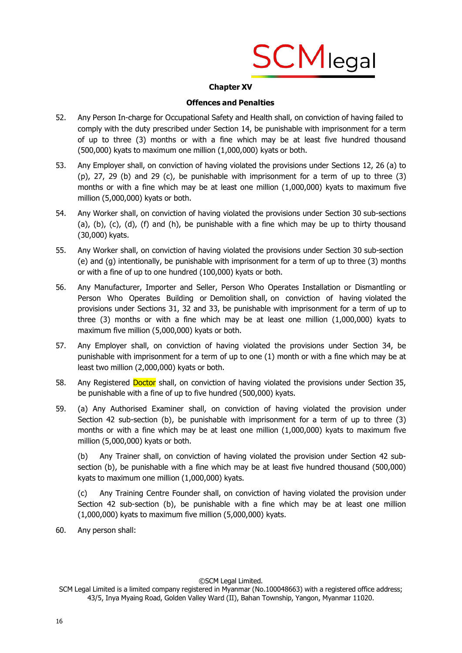![](_page_15_Picture_0.jpeg)

# **Chapter XV**

# **Offences and Penalties**

- 52. Any Person In-charge for Occupational Safety and Health shall, on conviction of having failed to comply with the duty prescribed under Section 14, be punishable with imprisonment for a term of up to three (3) months or with a fine which may be at least five hundred thousand (500,000) kyats to maximum one million (1,000,000) kyats or both.
- 53. Any Employer shall, on conviction of having violated the provisions under Sections 12, 26 (a) to  $(p)$ , 27, 29 (b) and 29 (c), be punishable with imprisonment for a term of up to three  $(3)$ months or with a fine which may be at least one million (1,000,000) kyats to maximum five million (5,000,000) kyats or both.
- 54. Any Worker shall, on conviction of having violated the provisions under Section 30 sub-sections (a), (b), (c), (d), (f) and (h), be punishable with a fine which may be up to thirty thousand (30,000) kyats.
- 55. Any Worker shall, on conviction of having violated the provisions under Section 30 sub-section (e) and (g) intentionally, be punishable with imprisonment for a term of up to three (3) months or with a fine of up to one hundred (100,000) kyats or both.
- 56. Any Manufacturer, Importer and Seller, Person Who Operates Installation or Dismantling or Person Who Operates Building or Demolition shall, on conviction of having violated the provisions under Sections 31, 32 and 33, be punishable with imprisonment for a term of up to three  $(3)$  months or with a fine which may be at least one million  $(1,000,000)$  kyats to maximum five million (5,000,000) kyats or both.
- 57. Any Employer shall, on conviction of having violated the provisions under Section 34, be punishable with imprisonment for a term of up to one (1) month or with a fine which may be at least two million (2,000,000) kyats or both.
- 58. Any Registered Doctor shall, on conviction of having violated the provisions under Section 35, be punishable with a fine of up to five hundred (500,000) kyats.
- 59. (a) Any Authorised Examiner shall, on conviction of having violated the provision under Section 42 sub-section (b), be punishable with imprisonment for a term of up to three (3) months or with a fine which may be at least one million (1,000,000) kyats to maximum five million (5,000,000) kyats or both.

(b) Any Trainer shall, on conviction of having violated the provision under Section 42 subsection (b), be punishable with a fine which may be at least five hundred thousand (500,000) kyats to maximum one million (1,000,000) kyats.

(c) Any Training Centre Founder shall, on conviction of having violated the provision under Section 42 sub-section (b), be punishable with a fine which may be at least one million (1,000,000) kyats to maximum five million (5,000,000) kyats.

60. Any person shall:

SCM Legal Limited is a limited company registered in Myanmar (No.100048663) with a registered office address; 43/5, Inya Myaing Road, Golden Valley Ward (II), Bahan Township, Yangon, Myanmar 11020.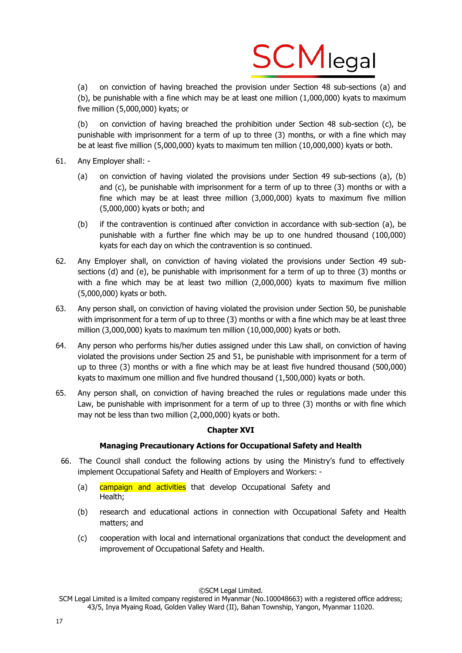![](_page_16_Picture_0.jpeg)

(a) on conviction of having breached the provision under Section 48 sub-sections (a) and (b), be punishable with a fine which may be at least one million (1,000,000) kyats to maximum five million (5,000,000) kyats; or

(b) on conviction of having breached the prohibition under Section 48 sub-section (c), be punishable with imprisonment for a term of up to three (3) months, or with a fine which may be at least five million (5,000,000) kyats to maximum ten million (10,000,000) kyats or both.

- 61. Any Employer shall:
	- (a) on conviction of having violated the provisions under Section 49 sub-sections (a), (b) and (c), be punishable with imprisonment for a term of up to three (3) months or with a fine which may be at least three million (3,000,000) kyats to maximum five million (5,000,000) kyats or both; and
	- (b) if the contravention is continued after conviction in accordance with sub-section (a), be punishable with a further fine which may be up to one hundred thousand (100,000) kyats for each day on which the contravention is so continued.
- 62. Any Employer shall, on conviction of having violated the provisions under Section 49 subsections (d) and (e), be punishable with imprisonment for a term of up to three (3) months or with a fine which may be at least two million (2,000,000) kyats to maximum five million (5,000,000) kyats or both.
- 63. Any person shall, on conviction of having violated the provision under Section 50, be punishable with imprisonment for a term of up to three (3) months or with a fine which may be at least three million (3,000,000) kyats to maximum ten million (10,000,000) kyats or both.
- 64. Any person who performs his/her duties assigned under this Law shall, on conviction of having violated the provisions under Section 25 and 51, be punishable with imprisonment for a term of up to three (3) months or with a fine which may be at least five hundred thousand (500,000) kyats to maximum one million and five hundred thousand (1,500,000) kyats or both.
- 65. Any person shall, on conviction of having breached the rules or regulations made under this Law, be punishable with imprisonment for a term of up to three (3) months or with fine which may not be less than two million (2,000,000) kyats or both.

# **Chapter XVI**

# **Managing Precautionary Actions for Occupational Safety and Health**

- 66. The Council shall conduct the following actions by using the Ministry's fund to effectively implement Occupational Safety and Health of Employers and Workers: -
	- (a) campaign and activities that develop Occupational Safety and Health;
	- (b) research and educational actions in connection with Occupational Safety and Health matters; and
	- (c) cooperation with local and international organizations that conduct the development and improvement of Occupational Safety and Health.

SCM Legal Limited is a limited company registered in Myanmar (No.100048663) with a registered office address; 43/5, Inya Myaing Road, Golden Valley Ward (II), Bahan Township, Yangon, Myanmar 11020.